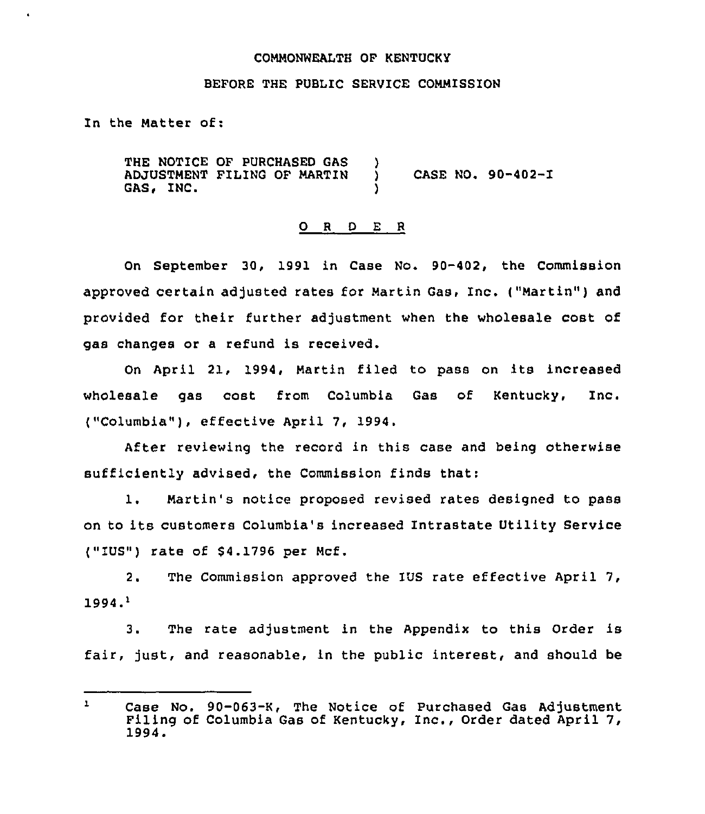# COMMONWEALTH OF KENTUCKY

#### BEFORE THE PUBLIC SERVICE COMMISSION

In the Matter of:

THE NOTICE OF PURCHASED GAS ADJUSTMENT FILING OF MARTIN GAS, INC.  $\left\{ \right\}$ ) CASE NO. 90-402-I )

# 0 <sup>R</sup> <sup>D</sup> E <sup>R</sup>

On September 30, 1991 in Case No. 90-402, the Commission approved certain adjusted rates for Martin Gas, Inc. ("Martin") and provided for their further adjustment when the wholesale cost of gas changes or a refund is received.

On April 21, 1994, Martin filed to pass on its increased wholesale gas cost from Columbia Gas of Kentucky, Inc. ("Columbia" ), effective April 7, 1994.

After reviewing the record in this case and being otherwise sufficiently advised, the Commission finds that:

1. Martin's notice proposed revised rates designed to pass on to its customers Columbia's increased Intrastate Utility Service ("IUS") rate of \$4.1796 per Mcf.

2. The Commission approved the IUS rate effective April 7,  $1994.$ <sup>1</sup>

3. The rate adjustment in the Appendix to this Order is fair, just, and reasonable, in the public interest, and should be

 $\mathbf{1}$ Case No. 90-063-K, The Notice of Purchased Gas Adjustment Filing of Columbia Gas of Kentucky, Inc., Order dated April 7, 1994.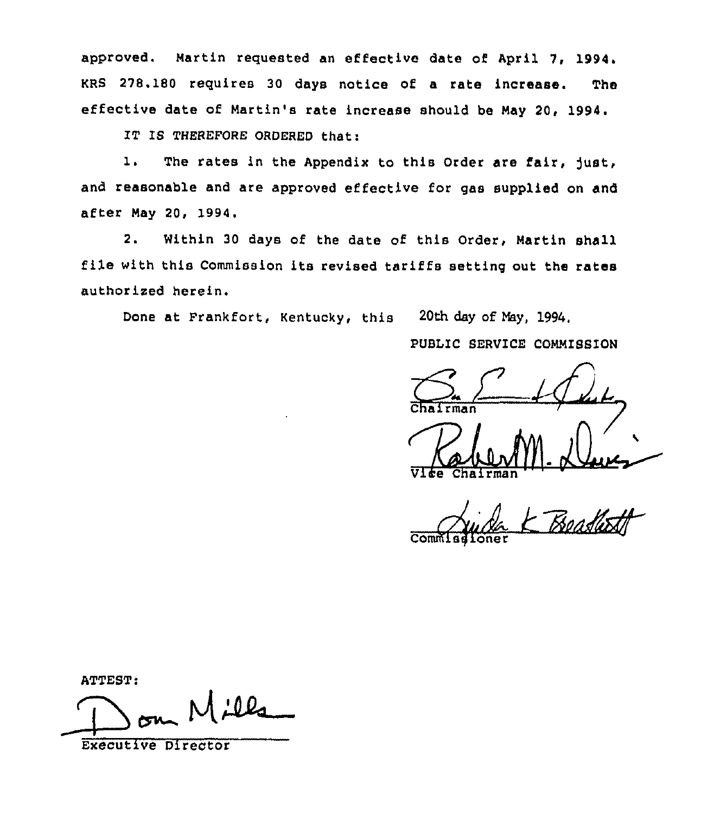approved. Martin requested an effective date of April 7, 1994. KRS 278.180 requires 30 days notice of a rate increase. **The** effective date of Martin's rate increase should be May 20, 1994.

IT IS THEREFORE ORDERED that:

 $\mathbf{1}$ . The rates in the Appendix to this Order are fair, just, and reasonable and are approved effective for gas supplied on and after May 20, 1994.

 $2.$ Within 30 days of the date of this Order, Martin shall file with this Commission its revised tariffs setting out the rates authorized herein.

20th day of May, 1994. Done at Frankfort, Kentucky, this

PUBLIC SERVICE COMMISSION

 $\overline{\mathrm{Comr}}$ 

ATTEST:

 $\overline{\phantom{a}}$   $\overline{\phantom{a}}$ 

**Executive Director**